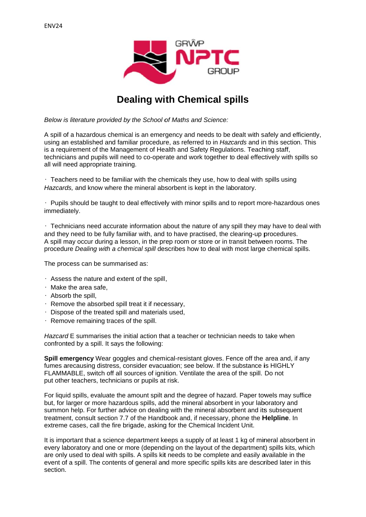

# **Dealing with Chemical spills**

Below is literature provided by the School of Maths and Science:

A spill of a hazardous chemical is an emergency and needs to be dealt with safely and efficiently. using an established and familiar procedure, as referred to in Hazcards and in this section. This is a requirement of the Management of Health and Safety Regulations. Teaching staff. technicians and pupils will need to co-operate and work together to deal effectively with spills so all will need appropriate training.

· Teachers need to be familiar with the chemicals they use, how to deal with spills using Hazcards, and know where the mineral absorbent is kept in the laboratory.

. Pupils should be taught to deal effectively with minor spills and to report more-hazardous ones immediately.

. Technicians need accurate information about the nature of any spill they may have to deal with and they need to be fully familiar with, and to have practised, the clearing-up procedures. A spill may occur during a lesson, in the prep room or store or in transit between rooms. The procedure Dealing with a chemical spill describes how to deal with most large chemical spills.

The process can be summarised as:

- $\cdot$  Assess the nature and extent of the spill,
- $\cdot$  Make the area safe.
- · Absorb the spill.
- · Remove the absorbed spill treat it if necessary,
- · Dispose of the treated spill and materials used,
- · Remove remaining traces of the spill.

Hazcard E summarises the initial action that a teacher or technician needs to take when confronted by a spill. It says the following:

Spill emergency Wear goggles and chemical-resistant gloves. Fence off the area and, if any fumes arecausing distress, consider evacuation; see below. If the substance is HIGHLY FLAMMABLE, switch off all sources of ignition. Ventilate the area of the spill. Do not put other teachers, technicians or pupils at risk.

For liquid spills, evaluate the amount spilt and the degree of hazard. Paper towels may suffice but, for larger or more hazardous spills, add the mineral absorbent in your laboratory and summon help. For further advice on dealing with the mineral absorbent and its subsequent treatment, consult section 7.7 of the Handbook and, if necessary, phone the **Helpline**. In extreme cases, call the fire brigade, asking for the Chemical Incident Unit.

It is important that a science department keeps a supply of at least 1 kg of mineral absorbent in every laboratory and one or more (depending on the layout of the department) spills kits, which are only used to deal with spills. A spills kit needs to be complete and easily available in the event of a spill. The contents of general and more specific spills kits are described later in this section.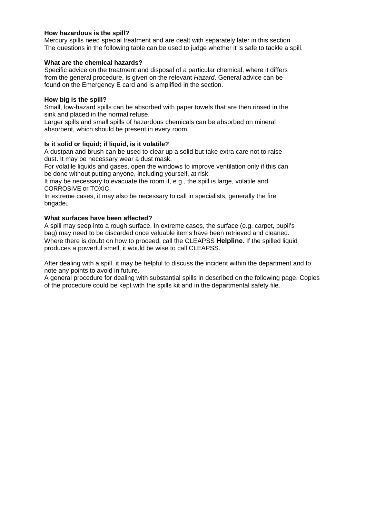#### **How hazardous is the spill?**

Mercury spills need special treatment and are dealt with separately later in this section. The questions in the following table can be used to judge whether it is safe to tackle a spill.

#### **What are the chemical hazards?**

Specific advice on the treatment and disposal of a particular chemical, where it differs from the general procedure, is given on the relevant *Hazard*. General advice can be found on the Emergency E card and is amplified in the section.

### **How big is the spill?**

Small, low-hazard spills can be absorbed with paper towels that are then rinsed in the sink and placed in the normal refuse.

Larger spills and small spills of hazardous chemicals can be absorbed on mineral absorbent, which should be present in every room.

## **Is it solid or liquid; if liquid, is it volatile?**

A dustpan and brush can be used to clear up a solid but take extra care not to raise dust. It may be necessary wear a dust mask.

For volatile liquids and gases, open the windows to improve ventilation only if this can be done without putting anyone, including yourself, at risk.

It may be necessary to evacuate the room if, e.g., the spill is large, volatile and CORROSIVE or TOXIC.

In extreme cases, it may also be necessary to call in specialists, generally the fire brigade<sub>1</sub>.

### **What surfaces have been affected?**

A spill may seep into a rough surface. In extreme cases, the surface (e.g. carpet, pupil's bag) may need to be discarded once valuable items have been retrieved and cleaned. Where there is doubt on how to proceed, call the CLEAPSS **Helpline**. If the spilled liquid produces a powerful smell, it would be wise to call CLEAPSS.

After dealing with a spill, it may be helpful to discuss the incident within the department and to note any points to avoid in future.

A general procedure for dealing with substantial spills in described on the following page. Copies of the procedure could be kept with the spills kit and in the departmental safety file.